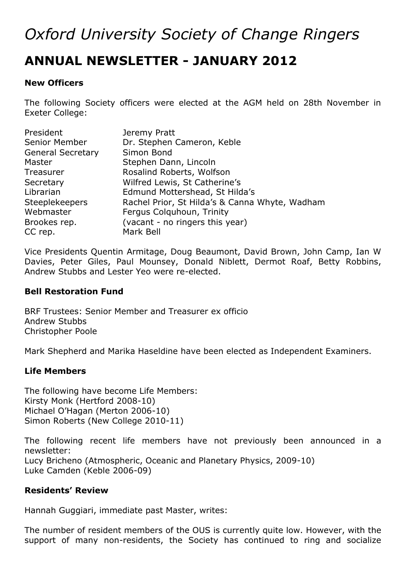# *Oxford University Society of Change Ringers*

## **ANNUAL NEWSLETTER - JANUARY 2012**

## **New Officers**

The following Society officers were elected at the AGM held on 28th November in Exeter College:

| President                | Jeremy Pratt                                   |
|--------------------------|------------------------------------------------|
| Senior Member            | Dr. Stephen Cameron, Keble                     |
| <b>General Secretary</b> | Simon Bond                                     |
| Master                   | Stephen Dann, Lincoln                          |
| <b>Treasurer</b>         | Rosalind Roberts, Wolfson                      |
| Secretary                | Wilfred Lewis, St Catherine's                  |
| Librarian                | Edmund Mottershead, St Hilda's                 |
| Steeplekeepers           | Rachel Prior, St Hilda's & Canna Whyte, Wadham |
| Webmaster                | Fergus Colquhoun, Trinity                      |
| Brookes rep.             | (vacant - no ringers this year)                |
| CC rep.                  | Mark Bell                                      |

Vice Presidents Quentin Armitage, Doug Beaumont, David Brown, John Camp, Ian W Davies, Peter Giles, Paul Mounsey, Donald Niblett, Dermot Roaf, Betty Robbins, Andrew Stubbs and Lester Yeo were re-elected.

## **Bell Restoration Fund**

BRF Trustees: Senior Member and Treasurer ex officio Andrew Stubbs Christopher Poole

Mark Shepherd and Marika Haseldine have been elected as Independent Examiners.

## **Life Members**

The following have become Life Members: Kirsty Monk (Hertford 2008-10) Michael O'Hagan (Merton 2006-10) Simon Roberts (New College 2010-11)

The following recent life members have not previously been announced in a newsletter: Lucy Bricheno (Atmospheric, Oceanic and Planetary Physics, 2009-10) Luke Camden (Keble 2006-09)

## **Residents' Review**

Hannah Guggiari, immediate past Master, writes:

The number of resident members of the OUS is currently quite low. However, with the support of many non-residents, the Society has continued to ring and socialize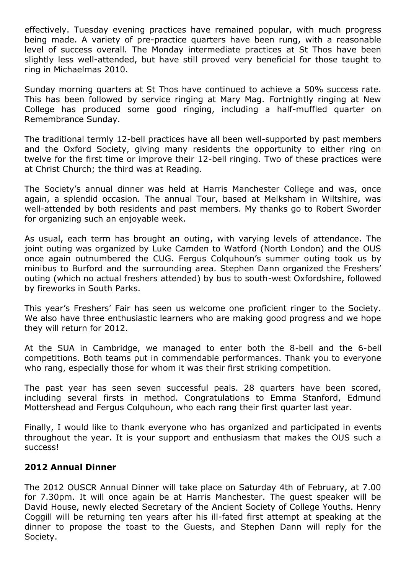effectively. Tuesday evening practices have remained popular, with much progress being made. A variety of pre-practice quarters have been rung, with a reasonable level of success overall. The Monday intermediate practices at St Thos have been slightly less well-attended, but have still proved very beneficial for those taught to ring in Michaelmas 2010.

Sunday morning quarters at St Thos have continued to achieve a 50% success rate. This has been followed by service ringing at Mary Mag. Fortnightly ringing at New College has produced some good ringing, including a half-muffled quarter on Remembrance Sunday.

The traditional termly 12-bell practices have all been well-supported by past members and the Oxford Society, giving many residents the opportunity to either ring on twelve for the first time or improve their 12-bell ringing. Two of these practices were at Christ Church; the third was at Reading.

The Society's annual dinner was held at Harris Manchester College and was, once again, a splendid occasion. The annual Tour, based at Melksham in Wiltshire, was well-attended by both residents and past members. My thanks go to Robert Sworder for organizing such an enjoyable week.

As usual, each term has brought an outing, with varying levels of attendance. The joint outing was organized by Luke Camden to Watford (North London) and the OUS once again outnumbered the CUG. Fergus Colquhoun's summer outing took us by minibus to Burford and the surrounding area. Stephen Dann organized the Freshers' outing (which no actual freshers attended) by bus to south-west Oxfordshire, followed by fireworks in South Parks.

This year's Freshers' Fair has seen us welcome one proficient ringer to the Society. We also have three enthusiastic learners who are making good progress and we hope they will return for 2012.

At the SUA in Cambridge, we managed to enter both the 8-bell and the 6-bell competitions. Both teams put in commendable performances. Thank you to everyone who rang, especially those for whom it was their first striking competition.

The past year has seen seven successful peals. 28 quarters have been scored, including several firsts in method. Congratulations to Emma Stanford, Edmund Mottershead and Fergus Colquhoun, who each rang their first quarter last year.

Finally, I would like to thank everyone who has organized and participated in events throughout the year. It is your support and enthusiasm that makes the OUS such a success!

## **2012 Annual Dinner**

The 2012 OUSCR Annual Dinner will take place on Saturday 4th of February, at 7.00 for 7.30pm. It will once again be at Harris Manchester. The guest speaker will be David House, newly elected Secretary of the Ancient Society of College Youths. Henry Coggill will be returning ten years after his ill-fated first attempt at speaking at the dinner to propose the toast to the Guests, and Stephen Dann will reply for the Society.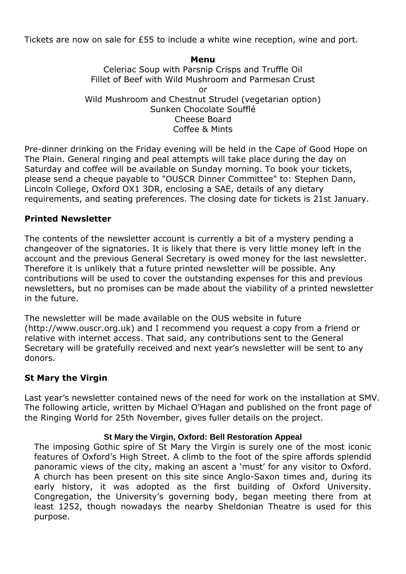Tickets are now on sale for £55 to include a white wine reception, wine and port.

#### **Menu**

Celeriac Soup with Parsnip Crisps and Truffle Oil Fillet of Beef with Wild Mushroom and Parmesan Crust or Wild Mushroom and Chestnut Strudel (vegetarian option) Sunken Chocolate Soufflé Cheese Board Coffee & Mints

Pre-dinner drinking on the Friday evening will be held in the Cape of Good Hope on The Plain. General ringing and peal attempts will take place during the day on Saturday and coffee will be available on Sunday morning. To book your tickets, please send a cheque payable to "OUSCR Dinner Committee" to: Stephen Dann, Lincoln College, Oxford OX1 3DR, enclosing a SAE, details of any dietary requirements, and seating preferences. The closing date for tickets is 21st January.

## **Printed Newsletter**

The contents of the newsletter account is currently a bit of a mystery pending a changeover of the signatories. It is likely that there is very little money left in the account and the previous General Secretary is owed money for the last newsletter. Therefore it is unlikely that a future printed newsletter will be possible. Any contributions will be used to cover the outstanding expenses for this and previous newsletters, but no promises can be made about the viability of a printed newsletter in the future.

The newsletter will be made available on the OUS website in future (http://www.ouscr.org.uk) and I recommend you request a copy from a friend or relative with internet access. That said, any contributions sent to the General Secretary will be gratefully received and next year's newsletter will be sent to any donors.

## **St Mary the Virgin**

Last year's newsletter contained news of the need for work on the installation at SMV. The following article, written by Michael O'Hagan and published on the front page of the Ringing World for 25th November, gives fuller details on the project.

## **St Mary the Virgin, Oxford: Bell Restoration Appeal**

The imposing Gothic spire of St Mary the Virgin is surely one of the most iconic features of Oxford's High Street. A climb to the foot of the spire affords splendid panoramic views of the city, making an ascent a 'must' for any visitor to Oxford. A church has been present on this site since Anglo-Saxon times and, during its early history, it was adopted as the first building of Oxford University. Congregation, the University's governing body, began meeting there from at least 1252, though nowadays the nearby Sheldonian Theatre is used for this purpose.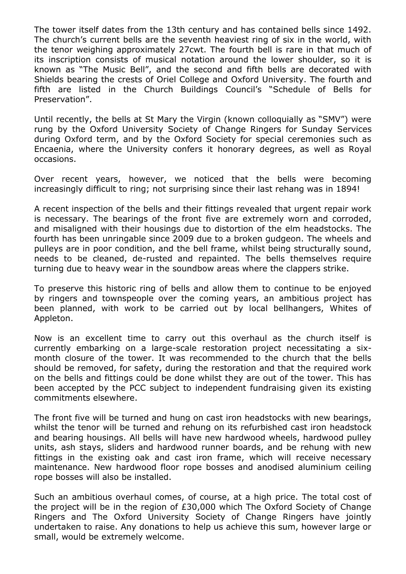The tower itself dates from the 13th century and has contained bells since 1492. The church's current bells are the seventh heaviest ring of six in the world, with the tenor weighing approximately 27cwt. The fourth bell is rare in that much of its inscription consists of musical notation around the lower shoulder, so it is known as "The Music Bell", and the second and fifth bells are decorated with Shields bearing the crests of Oriel College and Oxford University. The fourth and fifth are listed in the Church Buildings Council's "Schedule of Bells for Preservation".

Until recently, the bells at St Mary the Virgin (known colloquially as "SMV") were rung by the Oxford University Society of Change Ringers for Sunday Services during Oxford term, and by the Oxford Society for special ceremonies such as Encaenia, where the University confers it honorary degrees, as well as Royal occasions.

Over recent years, however, we noticed that the bells were becoming increasingly difficult to ring; not surprising since their last rehang was in 1894!

A recent inspection of the bells and their fittings revealed that urgent repair work is necessary. The bearings of the front five are extremely worn and corroded, and misaligned with their housings due to distortion of the elm headstocks. The fourth has been unringable since 2009 due to a broken gudgeon. The wheels and pulleys are in poor condition, and the bell frame, whilst being structurally sound, needs to be cleaned, de-rusted and repainted. The bells themselves require turning due to heavy wear in the soundbow areas where the clappers strike.

To preserve this historic ring of bells and allow them to continue to be enjoyed by ringers and townspeople over the coming years, an ambitious project has been planned, with work to be carried out by local bellhangers, Whites of Appleton.

Now is an excellent time to carry out this overhaul as the church itself is currently embarking on a large-scale restoration project necessitating a sixmonth closure of the tower. It was recommended to the church that the bells should be removed, for safety, during the restoration and that the required work on the bells and fittings could be done whilst they are out of the tower. This has been accepted by the PCC subject to independent fundraising given its existing commitments elsewhere.

The front five will be turned and hung on cast iron headstocks with new bearings, whilst the tenor will be turned and rehung on its refurbished cast iron headstock and bearing housings. All bells will have new hardwood wheels, hardwood pulley units, ash stays, sliders and hardwood runner boards, and be rehung with new fittings in the existing oak and cast iron frame, which will receive necessary maintenance. New hardwood floor rope bosses and anodised aluminium ceiling rope bosses will also be installed.

Such an ambitious overhaul comes, of course, at a high price. The total cost of the project will be in the region of £30,000 which The Oxford Society of Change Ringers and The Oxford University Society of Change Ringers have jointly undertaken to raise. Any donations to help us achieve this sum, however large or small, would be extremely welcome.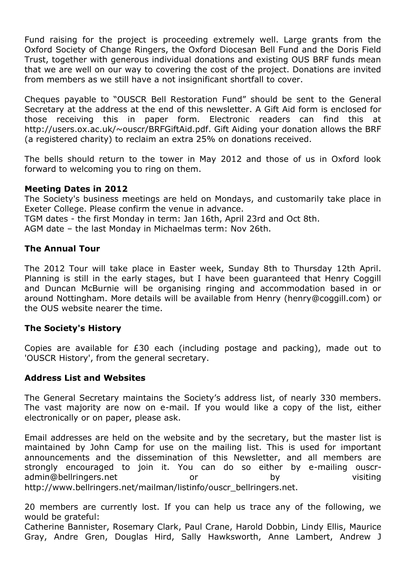Fund raising for the project is proceeding extremely well. Large grants from the Oxford Society of Change Ringers, the Oxford Diocesan Bell Fund and the Doris Field Trust, together with generous individual donations and existing OUS BRF funds mean that we are well on our way to covering the cost of the project. Donations are invited from members as we still have a not insignificant shortfall to cover.

Cheques payable to "OUSCR Bell Restoration Fund" should be sent to the General Secretary at the address at the end of this newsletter. A Gift Aid form is enclosed for those receiving this in paper form. Electronic readers can find this at http://users.ox.ac.uk/~ouscr/BRFGiftAid.pdf. Gift Aiding your donation allows the BRF (a registered charity) to reclaim an extra 25% on donations received.

The bells should return to the tower in May 2012 and those of us in Oxford look forward to welcoming you to ring on them.

## **Meeting Dates in 2012**

The Society's business meetings are held on Mondays, and customarily take place in Exeter College. Please confirm the venue in advance. TGM dates - the first Monday in term: Jan 16th, April 23rd and Oct 8th.

AGM date – the last Monday in Michaelmas term: Nov 26th.

## **The Annual Tour**

The 2012 Tour will take place in Easter week, Sunday 8th to Thursday 12th April. Planning is still in the early stages, but I have been guaranteed that Henry Coggill and Duncan McBurnie will be organising ringing and accommodation based in or around Nottingham. More details will be available from Henry (henry@coggill.com) or the OUS website nearer the time.

## **The Society's History**

Copies are available for £30 each (including postage and packing), made out to 'OUSCR History', from the general secretary.

## **Address List and Websites**

The General Secretary maintains the Society's address list, of nearly 330 members. The vast majority are now on e-mail. If you would like a copy of the list, either electronically or on paper, please ask.

Email addresses are held on the website and by the secretary, but the master list is maintained by John Camp for use on the mailing list. This is used for important announcements and the dissemination of this Newsletter, and all members are strongly encouraged to join it. You can do so either by e-mailing ouscradmin@bellringers.net or or by visiting http://www.bellringers.net/mailman/listinfo/ouscr\_bellringers.net.

20 members are currently lost. If you can help us trace any of the following, we would be grateful:

Catherine Bannister, Rosemary Clark, Paul Crane, Harold Dobbin, Lindy Ellis, Maurice Gray, Andre Gren, Douglas Hird, Sally Hawksworth, Anne Lambert, Andrew J